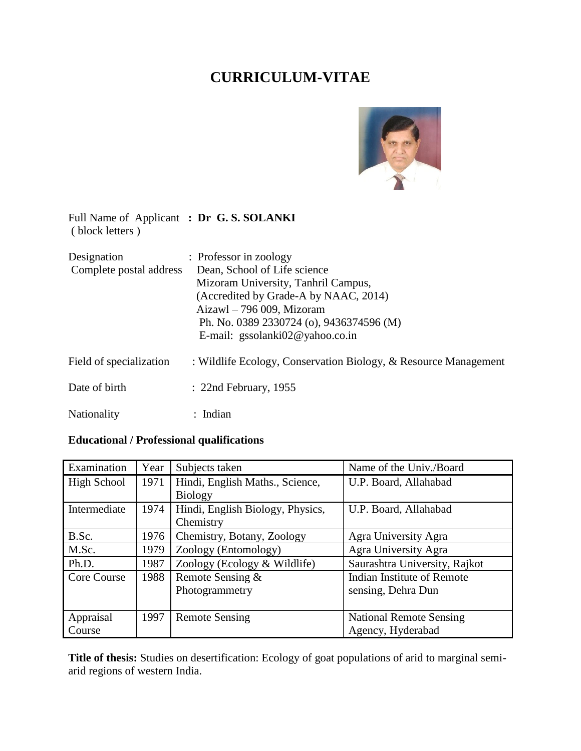# **CURRICULUM-VITAE**



Full Name of Applicant **: Dr G. S. SOLANKI** ( block letters )

| Designation             | : Professor in zoology                                          |  |  |
|-------------------------|-----------------------------------------------------------------|--|--|
| Complete postal address | Dean, School of Life science                                    |  |  |
|                         | Mizoram University, Tanhril Campus,                             |  |  |
|                         | (Accredited by Grade-A by NAAC, 2014)                           |  |  |
|                         | $Aizawl - 796 009$ , Mizoram                                    |  |  |
|                         | Ph. No. 0389 2330724 (o), 9436374596 (M)                        |  |  |
|                         | E-mail: gssolanki $02@$ yahoo.co.in                             |  |  |
| Field of specialization | : Wildlife Ecology, Conservation Biology, & Resource Management |  |  |
| Date of birth           | $: 22nd$ February, 1955                                         |  |  |
| Nationality             | : Indian                                                        |  |  |

# **Educational / Professional qualifications**

| Examination  | Year | Subjects taken                                            | Name of the Univ./Board        |  |
|--------------|------|-----------------------------------------------------------|--------------------------------|--|
| High School  | 1971 | Hindi, English Maths., Science,                           | U.P. Board, Allahabad          |  |
|              |      | <b>Biology</b>                                            |                                |  |
| Intermediate | 1974 | Hindi, English Biology, Physics,<br>U.P. Board, Allahabad |                                |  |
|              |      | Chemistry                                                 |                                |  |
| B.Sc.        | 1976 | Chemistry, Botany, Zoology                                | Agra University Agra           |  |
| M.Sc.        | 1979 | Zoology (Entomology)                                      | Agra University Agra           |  |
| Ph.D.        | 1987 | Zoology (Ecology $&$ Wildlife)                            | Saurashtra University, Rajkot  |  |
| Core Course  | 1988 | Remote Sensing &                                          | Indian Institute of Remote     |  |
|              |      | Photogrammetry                                            | sensing, Dehra Dun             |  |
|              |      |                                                           |                                |  |
| Appraisal    | 1997 | <b>Remote Sensing</b>                                     | <b>National Remote Sensing</b> |  |
| Course       |      | Agency, Hyderabad                                         |                                |  |

**Title of thesis:** Studies on desertification: Ecology of goat populations of arid to marginal semiarid regions of western India.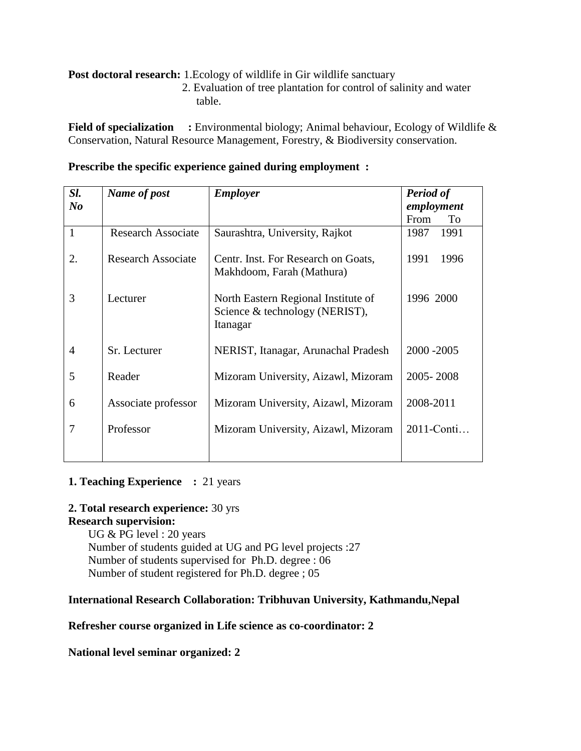**Post doctoral research:** 1. Ecology of wildlife in Gir wildlife sanctuary

 2. Evaluation of tree plantation for control of salinity and water table.

**Field of specialization** : Environmental biology; Animal behaviour, Ecology of Wildlife & Conservation, Natural Resource Management, Forestry, & Biodiversity conservation.

| Sl.<br>N <sub>o</sub> | Name of post              | <b>Employer</b>                                                                   | <b>Period of</b><br>employment |
|-----------------------|---------------------------|-----------------------------------------------------------------------------------|--------------------------------|
|                       |                           |                                                                                   | From<br>To                     |
| $\mathbf{1}$          | <b>Research Associate</b> | Saurashtra, University, Rajkot                                                    | 1991<br>1987                   |
| 2.                    | <b>Research Associate</b> | Centr. Inst. For Research on Goats,<br>Makhdoom, Farah (Mathura)                  | 1991<br>1996                   |
| 3                     | Lecturer                  | North Eastern Regional Institute of<br>Science & technology (NERIST),<br>Itanagar | 1996 2000                      |
| $\overline{A}$        | Sr. Lecturer              | NERIST, Itanagar, Arunachal Pradesh                                               | 2000 - 2005                    |
| 5                     | Reader                    | Mizoram University, Aizawl, Mizoram                                               | 2005-2008                      |
| 6                     | Associate professor       | Mizoram University, Aizawl, Mizoram                                               | 2008-2011                      |
| 7                     | Professor                 | Mizoram University, Aizawl, Mizoram                                               | 2011-Conti                     |

# **Prescribe the specific experience gained during employment :**

## **1. Teaching Experience** : 21 years

#### **2. Total research experience:** 30 yrs **Research supervision:**

UG & PG level : 20 years Number of students guided at UG and PG level projects :27 Number of students supervised for Ph.D. degree : 06 Number of student registered for Ph.D. degree ; 05

# **International Research Collaboration: Tribhuvan University, Kathmandu,Nepal**

# **Refresher course organized in Life science as co-coordinator: 2**

# **National level seminar organized: 2**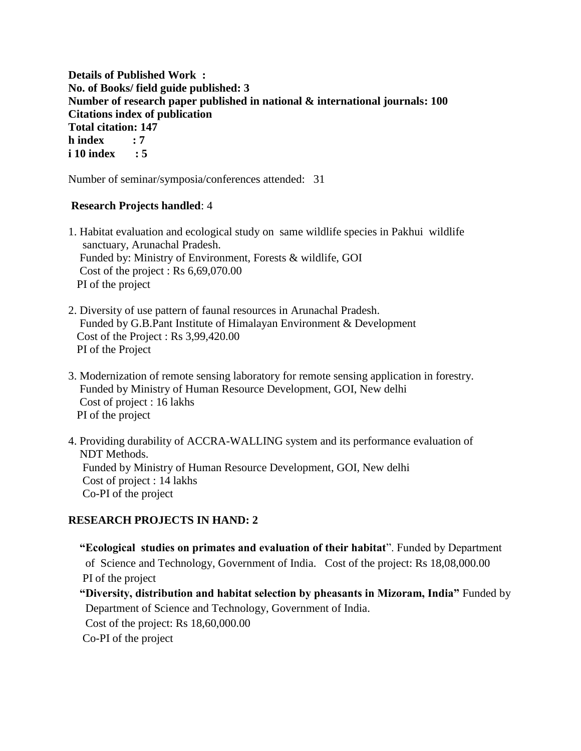**Details of Published Work : No. of Books/ field guide published: 3 Number of research paper published in national & international journals: 100 Citations index of publication Total citation: 147 h index : 7 i 10 index : 5** 

Number of seminar/symposia/conferences attended: 31

# **Research Projects handled**: 4

1. Habitat evaluation and ecological study on same wildlife species in Pakhui wildlife sanctuary, Arunachal Pradesh. Funded by: Ministry of Environment, Forests & wildlife, GOI Cost of the project : Rs 6,69,070.00 PI of the project

- 2. Diversity of use pattern of faunal resources in Arunachal Pradesh. Funded by G.B.Pant Institute of Himalayan Environment & Development Cost of the Project : Rs 3,99,420.00 PI of the Project
- 3. Modernization of remote sensing laboratory for remote sensing application in forestry. Funded by Ministry of Human Resource Development, GOI, New delhi Cost of project : 16 lakhs PI of the project
- 4. Providing durability of ACCRA-WALLING system and its performance evaluation of NDT Methods. Funded by Ministry of Human Resource Development, GOI, New delhi Cost of project : 14 lakhs Co-PI of the project

# **RESEARCH PROJECTS IN HAND: 2**

**"Ecological studies on primates and evaluation of their habitat**". Funded by Department of Science and Technology, Government of India. Cost of the project: Rs 18,08,000.00 PI of the project

**"Diversity, distribution and habitat selection by pheasants in Mizoram, India"** Funded by Department of Science and Technology, Government of India.

Cost of the project: Rs 18,60,000.00

Co-PI of the project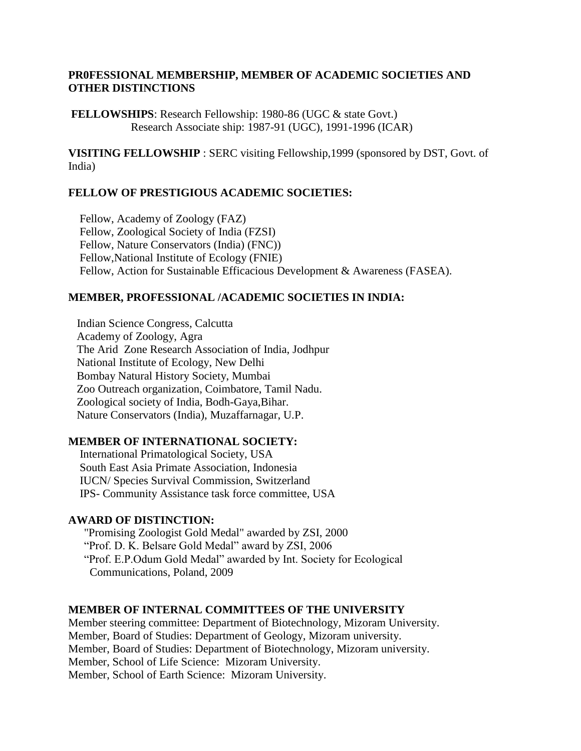## **PR0FESSIONAL MEMBERSHIP, MEMBER OF ACADEMIC SOCIETIES AND OTHER DISTINCTIONS**

**FELLOWSHIPS**: Research Fellowship: 1980-86 (UGC & state Govt.) Research Associate ship: 1987-91 (UGC), 1991-1996 (ICAR)

**VISITING FELLOWSHIP** : SERC visiting Fellowship,1999 (sponsored by DST, Govt. of India)

#### **FELLOW OF PRESTIGIOUS ACADEMIC SOCIETIES:**

Fellow, Academy of Zoology (FAZ) Fellow, Zoological Society of India (FZSI) Fellow, Nature Conservators (India) (FNC)) Fellow,National Institute of Ecology (FNIE) Fellow, Action for Sustainable Efficacious Development & Awareness (FASEA).

# **MEMBER, PROFESSIONAL /ACADEMIC SOCIETIES IN INDIA:**

 Indian Science Congress, Calcutta Academy of Zoology, Agra The Arid Zone Research Association of India, Jodhpur National Institute of Ecology, New Delhi Bombay Natural History Society, Mumbai Zoo Outreach organization, Coimbatore, Tamil Nadu. Zoological society of India, Bodh-Gaya,Bihar. Nature Conservators (India), Muzaffarnagar, U.P.

#### **MEMBER OF INTERNATIONAL SOCIETY:**

International Primatological Society, USA South East Asia Primate Association, Indonesia IUCN/ Species Survival Commission, Switzerland IPS- Community Assistance task force committee, USA

#### **AWARD OF DISTINCTION:**

"Promising Zoologist Gold Medal" awarded by ZSI, 2000 "Prof. D. K. Belsare Gold Medal" award by ZSI, 2006 "Prof. E.P.Odum Gold Medal" awarded by Int. Society for Ecological Communications, Poland, 2009

## **MEMBER OF INTERNAL COMMITTEES OF THE UNIVERSITY**

Member steering committee: Department of Biotechnology, Mizoram University. Member, Board of Studies: Department of Geology, Mizoram university. Member, Board of Studies: Department of Biotechnology, Mizoram university. Member, School of Life Science: Mizoram University. Member, School of Earth Science: Mizoram University.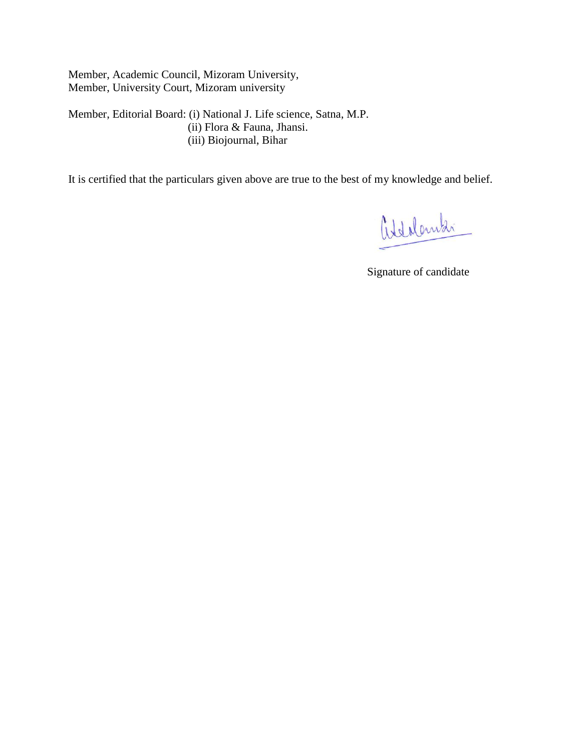Member, Academic Council, Mizoram University, Member, University Court, Mizoram university

Member, Editorial Board: (i) National J. Life science, Satna, M.P. (ii) Flora & Fauna, Jhansi. (iii) Biojournal, Bihar

It is certified that the particulars given above are true to the best of my knowledge and belief.

aldolandi

Signature of candidate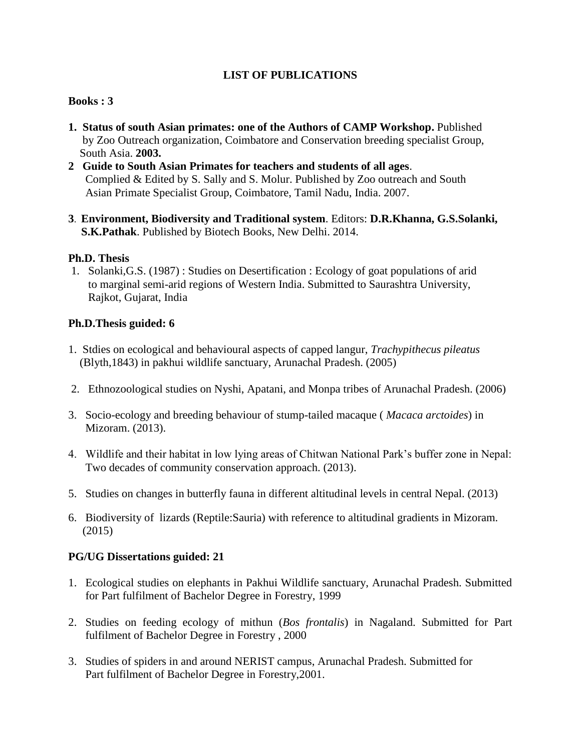# **LIST OF PUBLICATIONS**

# **Books : 3**

- **1. Status of south Asian primates: one of the Authors of CAMP Workshop.** Published by Zoo Outreach organization, Coimbatore and Conservation breeding specialist Group, South Asia. **2003.**
- **2 Guide to South Asian Primates for teachers and students of all ages**. Complied & Edited by S. Sally and S. Molur. Published by Zoo outreach and South Asian Primate Specialist Group, Coimbatore, Tamil Nadu, India. 2007.
- **3**. **Environment, Biodiversity and Traditional system**. Editors: **D.R.Khanna, G.S.Solanki, S.K.Pathak**. Published by Biotech Books, New Delhi. 2014.

# **Ph.D. Thesis**

1. Solanki,G.S. (1987) : Studies on Desertification : Ecology of goat populations of arid to marginal semi-arid regions of Western India. Submitted to Saurashtra University, Rajkot, Gujarat, India

# **Ph.D.Thesis guided: 6**

- 1. Stdies on ecological and behavioural aspects of capped langur, *Trachypithecus pileatus* (Blyth,1843) in pakhui wildlife sanctuary, Arunachal Pradesh. (2005)
- 2. Ethnozoological studies on Nyshi, Apatani, and Monpa tribes of Arunachal Pradesh. (2006)
- 3. Socio-ecology and breeding behaviour of stump-tailed macaque ( *Macaca arctoides*) in Mizoram. (2013).
- 4. Wildlife and their habitat in low lying areas of Chitwan National Park's buffer zone in Nepal: Two decades of community conservation approach. (2013).
- 5. Studies on changes in butterfly fauna in different altitudinal levels in central Nepal. (2013)
- 6. Biodiversity of lizards (Reptile:Sauria) with reference to altitudinal gradients in Mizoram. (2015)

#### **PG/UG Dissertations guided: 21**

- 1. Ecological studies on elephants in Pakhui Wildlife sanctuary, Arunachal Pradesh. Submitted for Part fulfilment of Bachelor Degree in Forestry, 1999
- 2. Studies on feeding ecology of mithun (*Bos frontalis*) in Nagaland. Submitted for Part fulfilment of Bachelor Degree in Forestry , 2000
- 3. Studies of spiders in and around NERIST campus, Arunachal Pradesh. Submitted for Part fulfilment of Bachelor Degree in Forestry,2001.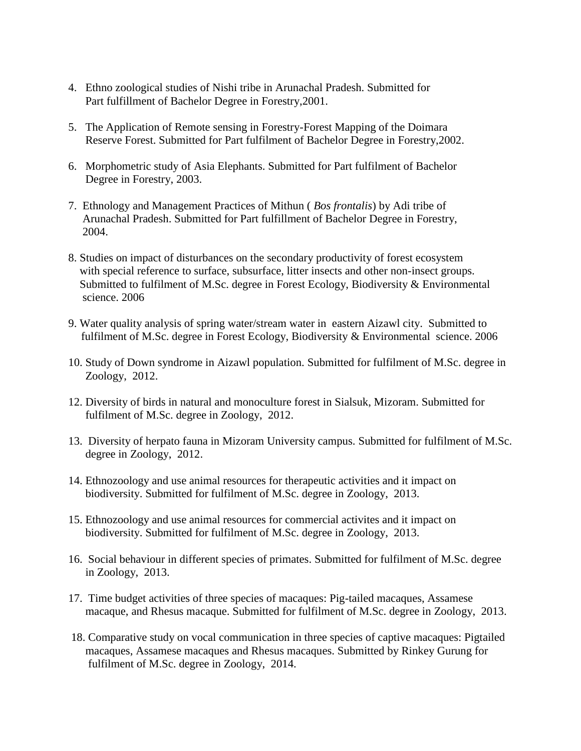- 4. Ethno zoological studies of Nishi tribe in Arunachal Pradesh. Submitted for Part fulfillment of Bachelor Degree in Forestry,2001.
- 5. The Application of Remote sensing in Forestry-Forest Mapping of the Doimara Reserve Forest. Submitted for Part fulfilment of Bachelor Degree in Forestry,2002.
- 6. Morphometric study of Asia Elephants. Submitted for Part fulfilment of Bachelor Degree in Forestry, 2003.
- 7. Ethnology and Management Practices of Mithun ( *Bos frontalis*) by Adi tribe of Arunachal Pradesh. Submitted for Part fulfillment of Bachelor Degree in Forestry, 2004.
- 8. Studies on impact of disturbances on the secondary productivity of forest ecosystem with special reference to surface, subsurface, litter insects and other non-insect groups. Submitted to fulfilment of M.Sc. degree in Forest Ecology, Biodiversity & Environmental science. 2006
- 9. Water quality analysis of spring water/stream water in eastern Aizawl city. Submitted to fulfilment of M.Sc. degree in Forest Ecology, Biodiversity & Environmental science. 2006
- 10. Study of Down syndrome in Aizawl population. Submitted for fulfilment of M.Sc. degree in Zoology, 2012.
- 12. Diversity of birds in natural and monoculture forest in Sialsuk, Mizoram. Submitted for fulfilment of M.Sc. degree in Zoology, 2012.
- 13. Diversity of herpato fauna in Mizoram University campus. Submitted for fulfilment of M.Sc. degree in Zoology, 2012.
- 14. Ethnozoology and use animal resources for therapeutic activities and it impact on biodiversity. Submitted for fulfilment of M.Sc. degree in Zoology, 2013.
- 15. Ethnozoology and use animal resources for commercial activites and it impact on biodiversity. Submitted for fulfilment of M.Sc. degree in Zoology, 2013.
- 16. Social behaviour in different species of primates. Submitted for fulfilment of M.Sc. degree in Zoology, 2013.
- 17. Time budget activities of three species of macaques: Pig-tailed macaques, Assamese macaque, and Rhesus macaque. Submitted for fulfilment of M.Sc. degree in Zoology, 2013.
- 18. Comparative study on vocal communication in three species of captive macaques: Pigtailed macaques, Assamese macaques and Rhesus macaques. Submitted by Rinkey Gurung for fulfilment of M.Sc. degree in Zoology, 2014.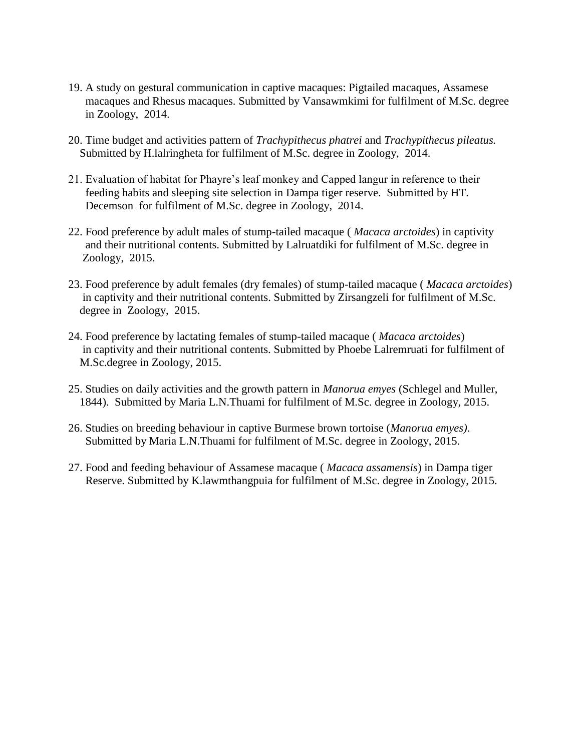- 19. A study on gestural communication in captive macaques: Pigtailed macaques, Assamese macaques and Rhesus macaques. Submitted by Vansawmkimi for fulfilment of M.Sc. degree in Zoology, 2014.
- 20. Time budget and activities pattern of *Trachypithecus phatrei* and *Trachypithecus pileatus.* Submitted by H.lalringheta for fulfilment of M.Sc. degree in Zoology, 2014.
- 21. Evaluation of habitat for Phayre's leaf monkey and Capped langur in reference to their feeding habits and sleeping site selection in Dampa tiger reserve. Submitted by HT. Decemson for fulfilment of M.Sc. degree in Zoology, 2014.
- 22. Food preference by adult males of stump-tailed macaque ( *Macaca arctoides*) in captivity and their nutritional contents. Submitted by Lalruatdiki for fulfilment of M.Sc. degree in Zoology, 2015.
- 23. Food preference by adult females (dry females) of stump-tailed macaque ( *Macaca arctoides*) in captivity and their nutritional contents. Submitted by Zirsangzeli for fulfilment of M.Sc. degree in Zoology, 2015.
- 24. Food preference by lactating females of stump-tailed macaque ( *Macaca arctoides*) in captivity and their nutritional contents. Submitted by Phoebe Lalremruati for fulfilment of M.Sc.degree in Zoology, 2015.
- 25. Studies on daily activities and the growth pattern in *Manorua emyes* (Schlegel and Muller, 1844). Submitted by Maria L.N.Thuami for fulfilment of M.Sc. degree in Zoology, 2015.
- 26. Studies on breeding behaviour in captive Burmese brown tortoise (*Manorua emyes)*. Submitted by Maria L.N.Thuami for fulfilment of M.Sc. degree in Zoology, 2015.
- 27. Food and feeding behaviour of Assamese macaque ( *Macaca assamensis*) in Dampa tiger Reserve. Submitted by K.lawmthangpuia for fulfilment of M.Sc. degree in Zoology, 2015.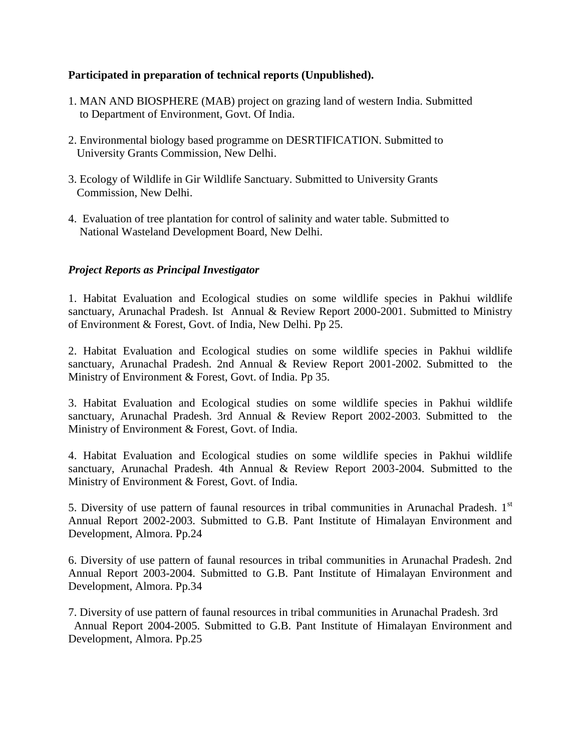# **Participated in preparation of technical reports (Unpublished).**

- 1. MAN AND BIOSPHERE (MAB) project on grazing land of western India. Submitted to Department of Environment, Govt. Of India.
- 2. Environmental biology based programme on DESRTIFICATION. Submitted to University Grants Commission, New Delhi.
- 3. Ecology of Wildlife in Gir Wildlife Sanctuary. Submitted to University Grants Commission, New Delhi.
- 4. Evaluation of tree plantation for control of salinity and water table. Submitted to National Wasteland Development Board, New Delhi.

# *Project Reports as Principal Investigator*

1. Habitat Evaluation and Ecological studies on some wildlife species in Pakhui wildlife sanctuary, Arunachal Pradesh. Ist Annual & Review Report 2000-2001. Submitted to Ministry of Environment & Forest, Govt. of India, New Delhi. Pp 25.

2. Habitat Evaluation and Ecological studies on some wildlife species in Pakhui wildlife sanctuary, Arunachal Pradesh. 2nd Annual & Review Report 2001-2002. Submitted to the Ministry of Environment & Forest, Govt. of India. Pp 35.

3. Habitat Evaluation and Ecological studies on some wildlife species in Pakhui wildlife sanctuary, Arunachal Pradesh. 3rd Annual & Review Report 2002-2003. Submitted to the Ministry of Environment & Forest, Govt. of India.

4. Habitat Evaluation and Ecological studies on some wildlife species in Pakhui wildlife sanctuary, Arunachal Pradesh. 4th Annual & Review Report 2003-2004. Submitted to the Ministry of Environment & Forest, Govt. of India.

5. Diversity of use pattern of faunal resources in tribal communities in Arunachal Pradesh. 1<sup>st</sup> Annual Report 2002-2003. Submitted to G.B. Pant Institute of Himalayan Environment and Development, Almora. Pp.24

6. Diversity of use pattern of faunal resources in tribal communities in Arunachal Pradesh. 2nd Annual Report 2003-2004. Submitted to G.B. Pant Institute of Himalayan Environment and Development, Almora. Pp.34

7. Diversity of use pattern of faunal resources in tribal communities in Arunachal Pradesh. 3rd Annual Report 2004-2005. Submitted to G.B. Pant Institute of Himalayan Environment and Development, Almora. Pp.25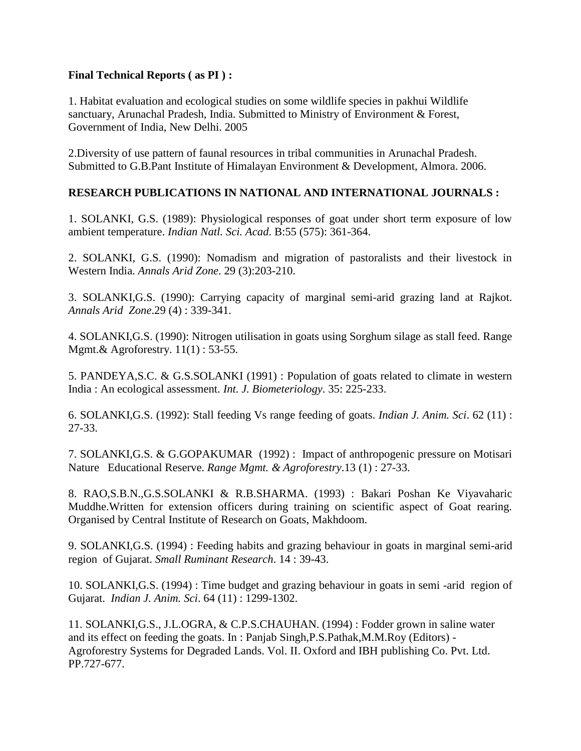# **Final Technical Reports ( as PI ) :**

1. Habitat evaluation and ecological studies on some wildlife species in pakhui Wildlife sanctuary, Arunachal Pradesh, India. Submitted to Ministry of Environment & Forest, Government of India, New Delhi. 2005

2.Diversity of use pattern of faunal resources in tribal communities in Arunachal Pradesh. Submitted to G.B.Pant Institute of Himalayan Environment & Development, Almora. 2006.

# **RESEARCH PUBLICATIONS IN NATIONAL AND INTERNATIONAL JOURNALS :**

1. SOLANKI, G.S. (1989): Physiological responses of goat under short term exposure of low ambient temperature. *Indian Natl. Sci. Acad*. B:55 (575): 361-364.

2. SOLANKI, G.S. (1990): Nomadism and migration of pastoralists and their livestock in Western India. *Annals Arid Zone*. 29 (3):203-210.

3. SOLANKI,G.S. (1990): Carrying capacity of marginal semi-arid grazing land at Rajkot. *Annals Arid Zone*.29 (4) : 339-341.

4. SOLANKI,G.S. (1990): Nitrogen utilisation in goats using Sorghum silage as stall feed. Range Mgmt.& Agroforestry. 11(1) : 53-55.

5. PANDEYA,S.C. & G.S.SOLANKI (1991) : Population of goats related to climate in western India : An ecological assessment. *Int. J. Biometeriology*. 35: 225-233.

6. SOLANKI,G.S. (1992): Stall feeding Vs range feeding of goats. *Indian J. Anim. Sci*. 62 (11) : 27-33.

7. SOLANKI,G.S. & G.GOPAKUMAR (1992) : Impact of anthropogenic pressure on Motisari Nature Educational Reserve. *Range Mgmt. & Agroforestry*.13 (1) : 27-33.

8. RAO,S.B.N.,G.S.SOLANKI & R.B.SHARMA. (1993) : Bakari Poshan Ke Viyavaharic Muddhe.Written for extension officers during training on scientific aspect of Goat rearing. Organised by Central Institute of Research on Goats, Makhdoom.

9. SOLANKI,G.S. (1994) : Feeding habits and grazing behaviour in goats in marginal semi-arid region of Gujarat. *Small Ruminant Research*. 14 : 39-43.

10. SOLANKI,G.S. (1994) : Time budget and grazing behaviour in goats in semi -arid region of Gujarat. *Indian J. Anim. Sci*. 64 (11) : 1299-1302.

11. SOLANKI,G.S., J.L.OGRA, & C.P.S.CHAUHAN. (1994) : Fodder grown in saline water and its effect on feeding the goats. In : Panjab Singh,P.S.Pathak,M.M.Roy (Editors) - Agroforestry Systems for Degraded Lands. Vol. II. Oxford and IBH publishing Co. Pvt. Ltd. PP.727-677.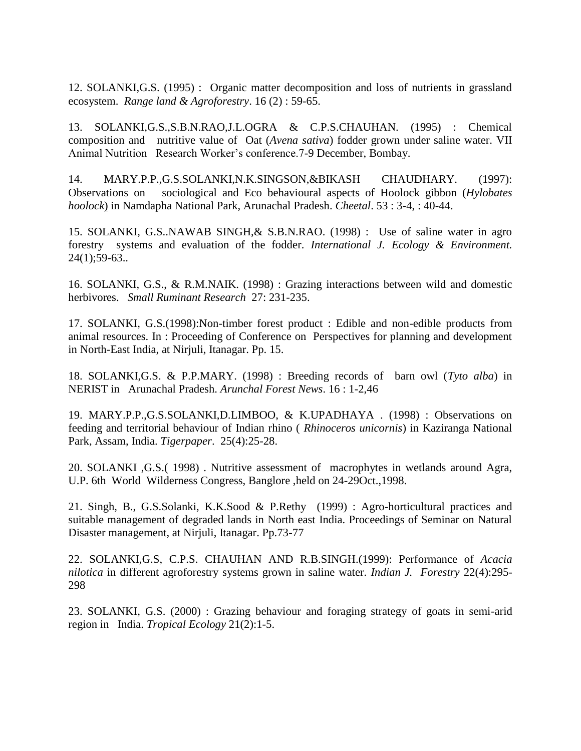12. SOLANKI,G.S. (1995) : Organic matter decomposition and loss of nutrients in grassland ecosystem. *Range land & Agroforestry*. 16 (2) : 59-65.

13. SOLANKI,G.S.,S.B.N.RAO,J.L.OGRA & C.P.S.CHAUHAN. (1995) : Chemical composition and nutritive value of Oat (*Avena sativa*) fodder grown under saline water. VII Animal Nutrition Research Worker's conference.7-9 December, Bombay.

14. MARY.P.P.,G.S.SOLANKI,N.K.SINGSON,&BIKASH CHAUDHARY. (1997): Observations on sociological and Eco behavioural aspects of Hoolock gibbon (*Hylobates hoolock*) in Namdapha National Park, Arunachal Pradesh. *Cheetal*. 53 : 3-4, : 40-44.

15. SOLANKI, G.S..NAWAB SINGH,& S.B.N.RAO. (1998) : Use of saline water in agro forestry systems and evaluation of the fodder. *International J. Ecology & Environment.*  24(1);59-63..

16. SOLANKI, G.S., & R.M.NAIK. (1998) : Grazing interactions between wild and domestic herbivores. *Small Ruminant Research* 27: 231-235.

17. SOLANKI, G.S.(1998):Non-timber forest product : Edible and non-edible products from animal resources. In : Proceeding of Conference on Perspectives for planning and development in North-East India, at Nirjuli, Itanagar. Pp. 15.

18. SOLANKI,G.S. & P.P.MARY. (1998) : Breeding records of barn owl (*Tyto alba*) in NERIST in Arunachal Pradesh. *Arunchal Forest News*. 16 : 1-2,46

19. MARY.P.P.,G.S.SOLANKI,D.LIMBOO, & K.UPADHAYA . (1998) : Observations on feeding and territorial behaviour of Indian rhino ( *Rhinoceros unicornis*) in Kaziranga National Park, Assam, India. *Tigerpaper*. 25(4):25-28.

20. SOLANKI ,G.S.( 1998) . Nutritive assessment of macrophytes in wetlands around Agra, U.P. 6th World Wilderness Congress, Banglore ,held on 24-29Oct.,1998.

21. Singh, B., G.S.Solanki, K.K.Sood & P.Rethy (1999) : Agro-horticultural practices and suitable management of degraded lands in North east India. Proceedings of Seminar on Natural Disaster management, at Nirjuli, Itanagar. Pp.73-77

22. SOLANKI,G.S, C.P.S. CHAUHAN AND R.B.SINGH.(1999): Performance of *Acacia nilotica* in different agroforestry systems grown in saline water. *Indian J. Forestry* 22(4):295- 298

23. SOLANKI, G.S. (2000) : Grazing behaviour and foraging strategy of goats in semi-arid region in India. *Tropical Ecology* 21(2):1-5.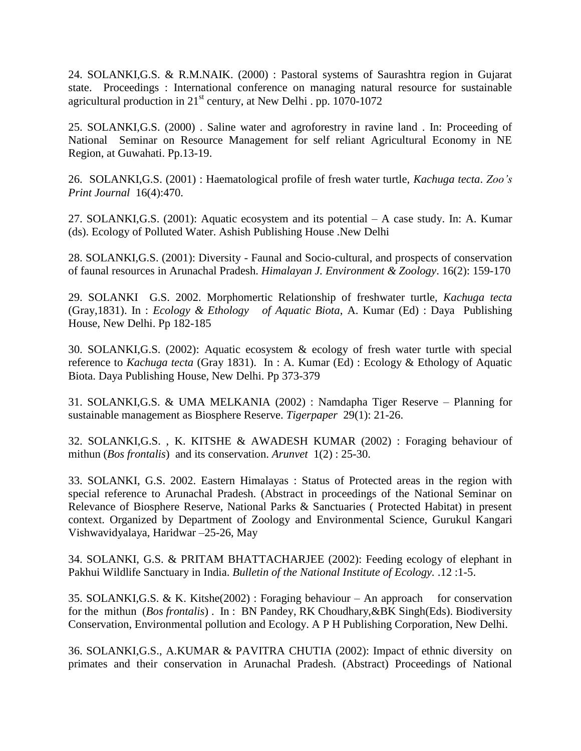24. SOLANKI,G.S. & R.M.NAIK. (2000) : Pastoral systems of Saurashtra region in Gujarat state. Proceedings : International conference on managing natural resource for sustainable agricultural production in  $21<sup>st</sup>$  century, at New Delhi . pp. 1070-1072

25. SOLANKI,G.S. (2000) . Saline water and agroforestry in ravine land . In: Proceeding of National Seminar on Resource Management for self reliant Agricultural Economy in NE Region, at Guwahati. Pp.13-19.

26. SOLANKI,G.S. (2001) : Haematological profile of fresh water turtle, *Kachuga tecta*. *Zoo's Print Journal* 16(4):470.

27. SOLANKI,G.S. (2001): Aquatic ecosystem and its potential – A case study. In: A. Kumar (ds). Ecology of Polluted Water. Ashish Publishing House .New Delhi

28. SOLANKI,G.S. (2001): Diversity - Faunal and Socio-cultural, and prospects of conservation of faunal resources in Arunachal Pradesh. *Himalayan J. Environment & Zoology*. 16(2): 159-170

29. SOLANKI G.S. 2002. Morphomertic Relationship of freshwater turtle, *Kachuga tecta*  (Gray,1831). In : *Ecology & Ethology of Aquatic Biota*, A. Kumar (Ed) : Daya Publishing House, New Delhi. Pp 182-185

30. SOLANKI,G.S. (2002): Aquatic ecosystem & ecology of fresh water turtle with special reference to *Kachuga tecta* (Gray 1831). In : A. Kumar (Ed) : Ecology & Ethology of Aquatic Biota. Daya Publishing House, New Delhi. Pp 373-379

31. SOLANKI,G.S. & UMA MELKANIA (2002) : Namdapha Tiger Reserve – Planning for sustainable management as Biosphere Reserve. *Tigerpaper* 29(1): 21-26.

32. SOLANKI,G.S. , K. KITSHE & AWADESH KUMAR (2002) : Foraging behaviour of mithun (*Bos frontalis*) and its conservation. *Arunvet* 1(2) : 25-30.

33. SOLANKI, G.S. 2002. Eastern Himalayas : Status of Protected areas in the region with special reference to Arunachal Pradesh. (Abstract in proceedings of the National Seminar on Relevance of Biosphere Reserve, National Parks & Sanctuaries ( Protected Habitat) in present context. Organized by Department of Zoology and Environmental Science, Gurukul Kangari Vishwavidyalaya, Haridwar –25-26, May

34. SOLANKI, G.S. & PRITAM BHATTACHARJEE (2002): Feeding ecology of elephant in Pakhui Wildlife Sanctuary in India. *Bulletin of the National Institute of Ecology.* .12 :1-5.

35. SOLANKI, G.S. & K. Kitshe $(2002)$ : Foraging behaviour – An approach for conservation for the mithun (*Bos frontalis*) . In : BN Pandey, RK Choudhary,&BK Singh(Eds). Biodiversity Conservation, Environmental pollution and Ecology. A P H Publishing Corporation, New Delhi.

36. SOLANKI,G.S., A.KUMAR & PAVITRA CHUTIA (2002): Impact of ethnic diversity on primates and their conservation in Arunachal Pradesh. (Abstract) Proceedings of National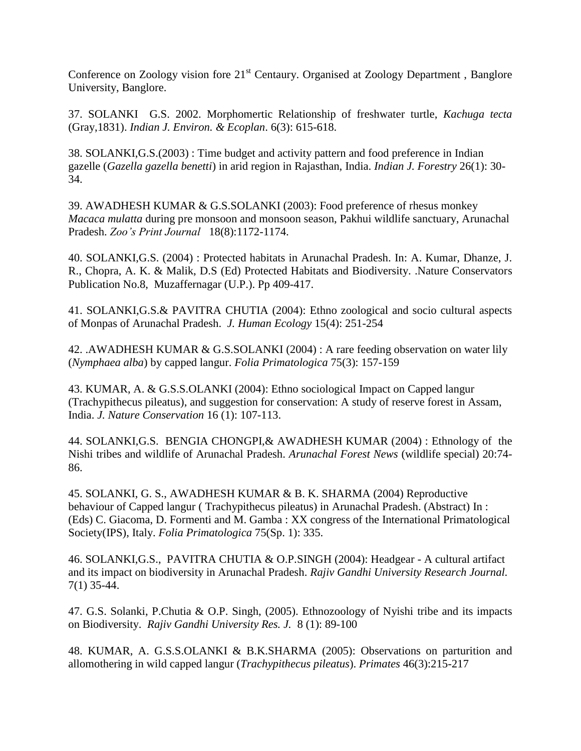Conference on Zoology vision fore  $21<sup>st</sup>$  Centaury. Organised at Zoology Department, Banglore University, Banglore.

37. SOLANKI G.S. 2002. Morphomertic Relationship of freshwater turtle, *Kachuga tecta*  (Gray,1831). *Indian J. Environ. & Ecoplan*. 6(3): 615-618.

38. SOLANKI,G.S.(2003) : Time budget and activity pattern and food preference in Indian gazelle (*Gazella gazella benetti*) in arid region in Rajasthan, India. *Indian J. Forestry* 26(1): 30- 34.

39. AWADHESH KUMAR & G.S.SOLANKI (2003): Food preference of rhesus monkey *Macaca mulatta* during pre monsoon and monsoon season, Pakhui wildlife sanctuary, Arunachal Pradesh. *Zoo's Print Journal* 18(8):1172-1174.

40. SOLANKI,G.S. (2004) : Protected habitats in Arunachal Pradesh. In: A. Kumar, Dhanze, J. R., Chopra, A. K. & Malik, D.S (Ed) Protected Habitats and Biodiversity. .Nature Conservators Publication No.8, Muzaffernagar (U.P.). Pp 409-417.

41. SOLANKI,G.S.& PAVITRA CHUTIA (2004): Ethno zoological and socio cultural aspects of Monpas of Arunachal Pradesh. *J. Human Ecology* 15(4): 251-254

42. .AWADHESH KUMAR & G.S.SOLANKI (2004) : A rare feeding observation on water lily (*Nymphaea alba*) by capped langur. *Folia Primatologica* 75(3): 157-159

43. KUMAR, A. & G.S.S.OLANKI (2004): Ethno sociological Impact on Capped langur (Trachypithecus pileatus), and suggestion for conservation: A study of reserve forest in Assam, India. *J. Nature Conservation* 16 (1): 107-113.

44. SOLANKI,G.S. BENGIA CHONGPI,& AWADHESH KUMAR (2004) : Ethnology of the Nishi tribes and wildlife of Arunachal Pradesh. *Arunachal Forest News* (wildlife special) 20:74- 86.

45. SOLANKI, G. S., AWADHESH KUMAR & B. K. SHARMA (2004) Reproductive behaviour of Capped langur ( Trachypithecus pileatus) in Arunachal Pradesh. (Abstract) In : (Eds) C. Giacoma, D. Formenti and M. Gamba : XX congress of the International Primatological Society(IPS), Italy. *Folia Primatologica* 75(Sp. 1): 335.

46. SOLANKI,G.S., PAVITRA CHUTIA & O.P.SINGH (2004): Headgear - A cultural artifact and its impact on biodiversity in Arunachal Pradesh. *Rajiv Gandhi University Research Journal.*  7(1) 35-44.

47. G.S. Solanki, P.Chutia & O.P. Singh, (2005). Ethnozoology of Nyishi tribe and its impacts on Biodiversity. *Rajiv Gandhi University Res. J.* 8 (1): 89-100

48. KUMAR, A. G.S.S.OLANKI & B.K.SHARMA (2005): Observations on parturition and allomothering in wild capped langur (*Trachypithecus pileatus*). *Primates* 46(3):215-217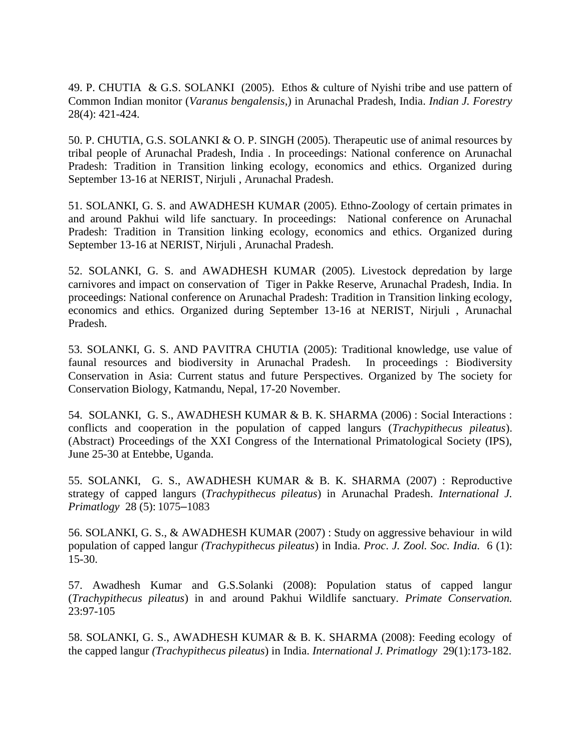49. P. CHUTIA & G.S. SOLANKI (2005). Ethos & culture of Nyishi tribe and use pattern of Common Indian monitor (*Varanus bengalensis*,) in Arunachal Pradesh, India. *Indian J. Forestry*  28(4): 421-424.

50. P. CHUTIA, G.S. SOLANKI & O. P. SINGH (2005). Therapeutic use of animal resources by tribal people of Arunachal Pradesh, India . In proceedings: National conference on Arunachal Pradesh: Tradition in Transition linking ecology, economics and ethics. Organized during September 13-16 at NERIST, Nirjuli , Arunachal Pradesh.

51. SOLANKI, G. S. and AWADHESH KUMAR (2005). Ethno-Zoology of certain primates in and around Pakhui wild life sanctuary. In proceedings: National conference on Arunachal Pradesh: Tradition in Transition linking ecology, economics and ethics. Organized during September 13-16 at NERIST, Nirjuli , Arunachal Pradesh.

52. SOLANKI, G. S. and AWADHESH KUMAR (2005). Livestock depredation by large carnivores and impact on conservation of Tiger in Pakke Reserve, Arunachal Pradesh, India. In proceedings: National conference on Arunachal Pradesh: Tradition in Transition linking ecology, economics and ethics. Organized during September 13-16 at NERIST, Nirjuli , Arunachal Pradesh.

53. SOLANKI, G. S. AND PAVITRA CHUTIA (2005): Traditional knowledge, use value of faunal resources and biodiversity in Arunachal Pradesh. In proceedings : Biodiversity Conservation in Asia: Current status and future Perspectives. Organized by The society for Conservation Biology, Katmandu, Nepal, 17-20 November.

54. SOLANKI, G. S., AWADHESH KUMAR & B. K. SHARMA (2006) : Social Interactions : conflicts and cooperation in the population of capped langurs (*Trachypithecus pileatus*). (Abstract) Proceedings of the XXI Congress of the International Primatological Society (IPS), June 25-30 at Entebbe, Uganda.

55. SOLANKI, G. S., AWADHESH KUMAR & B. K. SHARMA (2007) : Reproductive strategy of capped langurs (*Trachypithecus pileatus*) in Arunachal Pradesh. *International J. Primatlogy* 28 (5): 1075–1083

56. SOLANKI, G. S., & AWADHESH KUMAR (2007) : Study on aggressive behaviour in wild population of capped langur *(Trachypithecus pileatus*) in India. *Proc*. *J. Zool. Soc. India.* 6 (1): 15-30.

57. Awadhesh Kumar and G.S.Solanki (2008): Population status of capped langur (*Trachypithecus pileatus*) in and around Pakhui Wildlife sanctuary. *Primate Conservation.* 23:97-105

58. SOLANKI, G. S., AWADHESH KUMAR & B. K. SHARMA (2008): Feeding ecology of the capped langur *(Trachypithecus pileatus*) in India. *International J. Primatlogy* 29(1):173-182.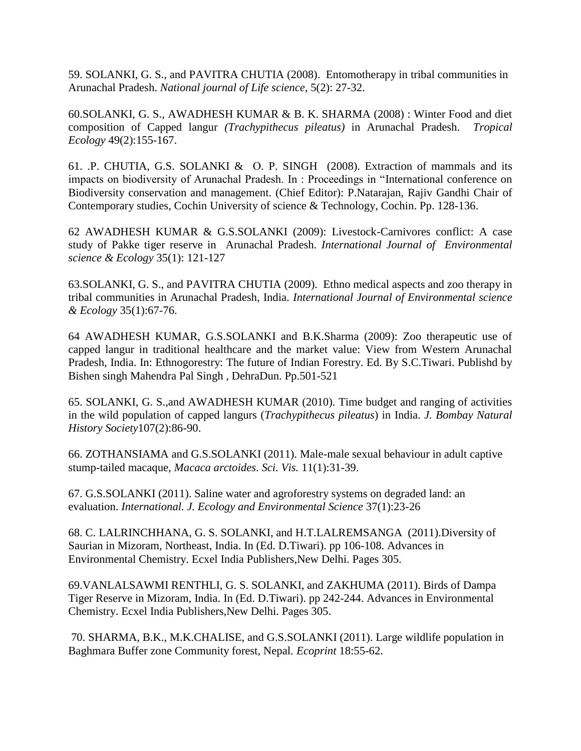59. SOLANKI, G. S., and PAVITRA CHUTIA (2008). Entomotherapy in tribal communities in Arunachal Pradesh. *National journal of Life science*, 5(2): 27-32.

60.SOLANKI, G. S., AWADHESH KUMAR & B. K. SHARMA (2008) : Winter Food and diet composition of Capped langur *(Trachypithecus pileatus)* in Arunachal Pradesh. *Tropical Ecology* 49(2):155-167.

61. .P. CHUTIA, G.S. SOLANKI & O. P. SINGH (2008). Extraction of mammals and its impacts on biodiversity of Arunachal Pradesh. In : Proceedings in "International conference on Biodiversity conservation and management. (Chief Editor): P.Natarajan, Rajiv Gandhi Chair of Contemporary studies, Cochin University of science & Technology, Cochin. Pp. 128-136.

62 AWADHESH KUMAR & G.S.SOLANKI (2009): Livestock-Carnivores conflict: A case study of Pakke tiger reserve in Arunachal Pradesh. *International Journal of Environmental science & Ecology* 35(1): 121-127

63.SOLANKI, G. S., and PAVITRA CHUTIA (2009). Ethno medical aspects and zoo therapy in tribal communities in Arunachal Pradesh, India. *International Journal of Environmental science & Ecology* 35(1):67-76.

64 AWADHESH KUMAR, G.S.SOLANKI and B.K.Sharma (2009): Zoo therapeutic use of capped langur in traditional healthcare and the market value: View from Western Arunachal Pradesh, India. In: Ethnogorestry: The future of Indian Forestry. Ed. By S.C.Tiwari. Publishd by Bishen singh Mahendra Pal Singh , DehraDun. Pp.501-521

65. SOLANKI, G. S.,and AWADHESH KUMAR (2010). Time budget and ranging of activities in the wild population of capped langurs (*Trachypithecus pileatus*) in India. *J. Bombay Natural History Society*107(2):86-90.

66. ZOTHANSIAMA and G.S.SOLANKI (2011). Male-male sexual behaviour in adult captive stump-tailed macaque, *Macaca arctoides*. *Sci. Vis.* 11(1):31-39.

67. G.S.SOLANKI (2011). Saline water and agroforestry systems on degraded land: an evaluation. *International. J. Ecology and Environmental Science* 37(1):23-26

68. C. LALRINCHHANA, G. S. SOLANKI, and H.T.LALREMSANGA (2011).Diversity of Saurian in Mizoram, Northeast, India. In (Ed. D.Tiwari). pp 106-108. Advances in Environmental Chemistry. Ecxel India Publishers,New Delhi. Pages 305.

69.VANLALSAWMI RENTHLI, G. S. SOLANKI, and ZAKHUMA (2011). Birds of Dampa Tiger Reserve in Mizoram, India. In (Ed. D.Tiwari). pp 242-244. Advances in Environmental Chemistry. Ecxel India Publishers,New Delhi. Pages 305.

70. SHARMA, B.K., M.K.CHALISE, and G.S.SOLANKI (2011). Large wildlife population in Baghmara Buffer zone Community forest, Nepal. *Ecoprint* 18:55-62.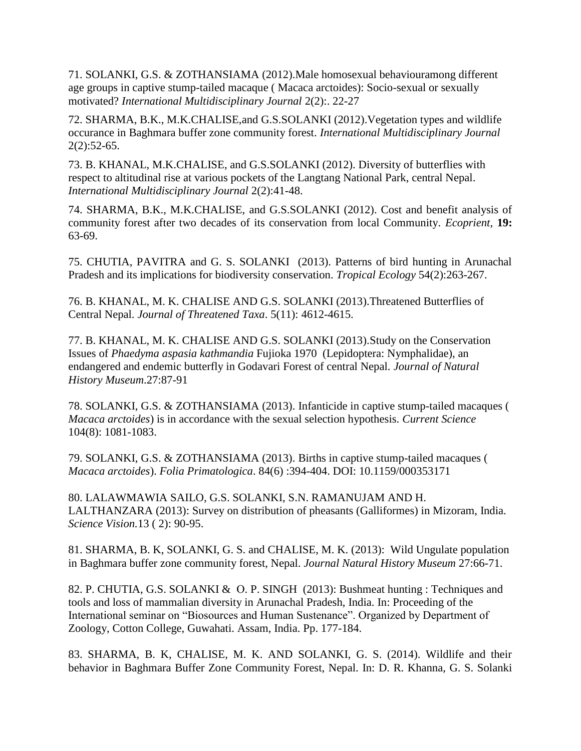71. SOLANKI, G.S. & ZOTHANSIAMA (2012).Male homosexual behaviouramong different age groups in captive stump-tailed macaque ( Macaca arctoides): Socio-sexual or sexually motivated? *International Multidisciplinary Journal* 2(2):. 22-27

72. SHARMA, B.K., M.K.CHALISE,and G.S.SOLANKI (2012).Vegetation types and wildlife occurance in Baghmara buffer zone community forest. *International Multidisciplinary Journal*  $2(2):52-65.$ 

73. B. KHANAL, M.K.CHALISE, and G.S.SOLANKI (2012). Diversity of butterflies with respect to altitudinal rise at various pockets of the Langtang National Park, central Nepal. *International Multidisciplinary Journal* 2(2):41-48.

74. SHARMA, B.K., M.K.CHALISE, and G.S.SOLANKI (2012). Cost and benefit analysis of community forest after two decades of its conservation from local Community. *Ecoprient*, **19:**  63-69.

75. CHUTIA, PAVITRA and G. S. SOLANKI (2013). Patterns of bird hunting in Arunachal Pradesh and its implications for biodiversity conservation. *Tropical Ecology* 54(2):263-267.

76. B. KHANAL, M. K. CHALISE AND G.S. SOLANKI (2013).Threatened Butterflies of Central Nepal. *Journal of Threatened Taxa*. 5(11): 4612-4615.

77. B. KHANAL, M. K. CHALISE AND G.S. SOLANKI (2013).Study on the Conservation Issues of *Phaedyma aspasia kathmandia* Fujioka 1970 (Lepidoptera: Nymphalidae), an endangered and endemic butterfly in Godavari Forest of central Nepal. *Journal of Natural History Museum*.27:87-91

78. SOLANKI, G.S. & ZOTHANSIAMA (2013). Infanticide in captive stump-tailed macaques ( *Macaca arctoides*) is in accordance with the sexual selection hypothesis. *Current Science* 104(8): 1081-1083.

79. SOLANKI, G.S. & ZOTHANSIAMA (2013). Births in captive stump-tailed macaques ( *Macaca arctoides*). *Folia Primatologica*. 84(6) :394-404. DOI: 10.1159/000353171

80. LALAWMAWIA SAILO, G.S. SOLANKI, S.N. RAMANUJAM AND H. LALTHANZARA (2013): Survey on distribution of pheasants (Galliformes) in Mizoram, India. *Science Vision.*13 ( 2): 90-95.

81. SHARMA, B. K, SOLANKI, G. S. and CHALISE, M. K. (2013): Wild Ungulate population in Baghmara buffer zone community forest, Nepal. *Journal Natural History Museum* 27:66-71.

82. P. CHUTIA, G.S. SOLANKI & O. P. SINGH (2013): Bushmeat hunting : Techniques and tools and loss of mammalian diversity in Arunachal Pradesh, India. In: Proceeding of the International seminar on "Biosources and Human Sustenance". Organized by Department of Zoology, Cotton College, Guwahati. Assam, India. Pp. 177-184.

83. SHARMA, B. K, CHALISE, M. K. AND SOLANKI, G. S. (2014). Wildlife and their behavior in Baghmara Buffer Zone Community Forest, Nepal. In: D. R. Khanna, G. S. Solanki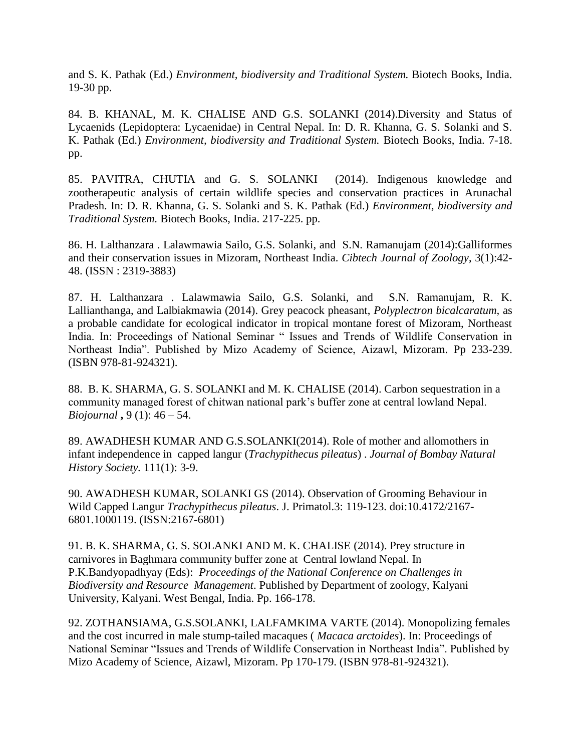and S. K. Pathak (Ed.) *Environment, biodiversity and Traditional System.* Biotech Books, India. 19-30 pp.

84. B. KHANAL, M. K. CHALISE AND G.S. SOLANKI (2014).Diversity and Status of Lycaenids (Lepidoptera: Lycaenidae) in Central Nepal. In: D. R. Khanna, G. S. Solanki and S. K. Pathak (Ed.) *Environment, biodiversity and Traditional System.* Biotech Books, India. 7-18. pp.

85. PAVITRA, CHUTIA and G. S. SOLANKI (2014). Indigenous knowledge and zootherapeutic analysis of certain wildlife species and conservation practices in Arunachal Pradesh. In: D. R. Khanna, G. S. Solanki and S. K. Pathak (Ed.) *Environment, biodiversity and Traditional System.* Biotech Books, India. 217-225. pp.

86. H. Lalthanzara . Lalawmawia Sailo, G.S. Solanki, and S.N. Ramanujam (2014):Galliformes and their conservation issues in Mizoram, Northeast India. *Cibtech Journal of Zoology*, 3(1):42- 48. (ISSN : 2319-3883)

87. H. Lalthanzara . Lalawmawia Sailo, G.S. Solanki, and S.N. Ramanujam, R. K. Lallianthanga, and Lalbiakmawia (2014). Grey peacock pheasant, *Polyplectron bicalcaratum,* as a probable candidate for ecological indicator in tropical montane forest of Mizoram, Northeast India. In: Proceedings of National Seminar " Issues and Trends of Wildlife Conservation in Northeast India". Published by Mizo Academy of Science, Aizawl, Mizoram. Pp 233-239. (ISBN 978-81-924321).

88.B. K. SHARMA, G. S. SOLANKI and M. K. CHALISE (2014). Carbon sequestration in a community managed forest of chitwan national park's buffer zone at central lowland Nepal. *Biojournal* **,** 9 (1): 46 – 54.

89. AWADHESH KUMAR AND G.S.SOLANKI(2014). Role of mother and allomothers in infant independence in capped langur (*Trachypithecus pileatus*) . *Journal of Bombay Natural History Society.* 111(1): 3-9.

90. AWADHESH KUMAR, SOLANKI GS (2014). Observation of Grooming Behaviour in Wild Capped Langur *Trachypithecus pileatus*. J. Primatol.3: 119-123. doi:10.4172/2167- 6801.1000119. (ISSN:2167-6801)

91. B. K. SHARMA, G. S. SOLANKI AND M. K. CHALISE (2014). Prey structure in carnivores in Baghmara community buffer zone at Central lowland Nepal. In P.K.Bandyopadhyay (Eds): *Proceedings of the National Conference on Challenges in Biodiversity and Resource Management*. Published by Department of zoology, Kalyani University, Kalyani. West Bengal, India. Pp. 166-178.

92. ZOTHANSIAMA, G.S.SOLANKI, LALFAMKIMA VARTE (2014). Monopolizing females and the cost incurred in male stump-tailed macaques ( *Macaca arctoides*). In: Proceedings of National Seminar "Issues and Trends of Wildlife Conservation in Northeast India". Published by Mizo Academy of Science, Aizawl, Mizoram. Pp 170-179. (ISBN 978-81-924321).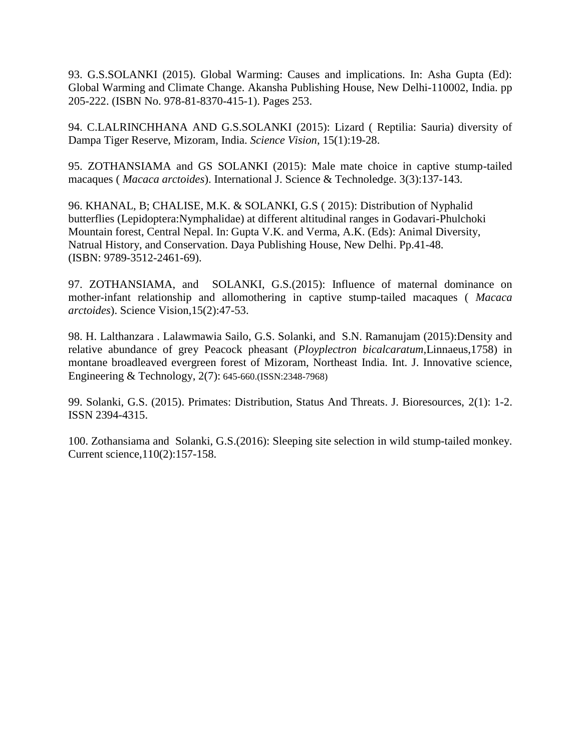93. G.S.SOLANKI (2015). Global Warming: Causes and implications. In: Asha Gupta (Ed): Global Warming and Climate Change. Akansha Publishing House, New Delhi-110002, India. pp 205-222. (ISBN No. 978-81-8370-415-1). Pages 253.

94. C.LALRINCHHANA AND G.S.SOLANKI (2015): Lizard ( Reptilia: Sauria) diversity of Dampa Tiger Reserve, Mizoram, India. *Science Vision*, 15(1):19-28.

95. ZOTHANSIAMA and GS SOLANKI (2015): Male mate choice in captive stump-tailed macaques ( *Macaca arctoides*). International J. Science & Technoledge. 3(3):137-143.

96. KHANAL, B; CHALISE, M.K. & SOLANKI, G.S ( 2015): Distribution of Nyphalid butterflies (Lepidoptera:Nymphalidae) at different altitudinal ranges in Godavari-Phulchoki Mountain forest, Central Nepal. In: Gupta V.K. and Verma, A.K. (Eds): Animal Diversity, Natrual History, and Conservation. Daya Publishing House, New Delhi. Pp.41-48. (ISBN: 9789-3512-2461-69).

97. ZOTHANSIAMA, and SOLANKI, G.S.(2015): Influence of maternal dominance on mother-infant relationship and allomothering in captive stump-tailed macaques ( *Macaca arctoides*). Science Vision,15(2):47-53.

98. H. Lalthanzara . Lalawmawia Sailo, G.S. Solanki, and S.N. Ramanujam (2015):Density and relative abundance of grey Peacock pheasant (*Ployplectron bicalcaratum,*Linnaeus,1758) in montane broadleaved evergreen forest of Mizoram, Northeast India. Int. J. Innovative science, Engineering & Technology, 2(7): 645-660.(ISSN:2348-7968)

99. Solanki, G.S. (2015). Primates: Distribution, Status And Threats. J. Bioresources, 2(1): 1-2. ISSN 2394-4315.

100. Zothansiama and Solanki, G.S.(2016): Sleeping site selection in wild stump-tailed monkey. Current science,110(2):157-158.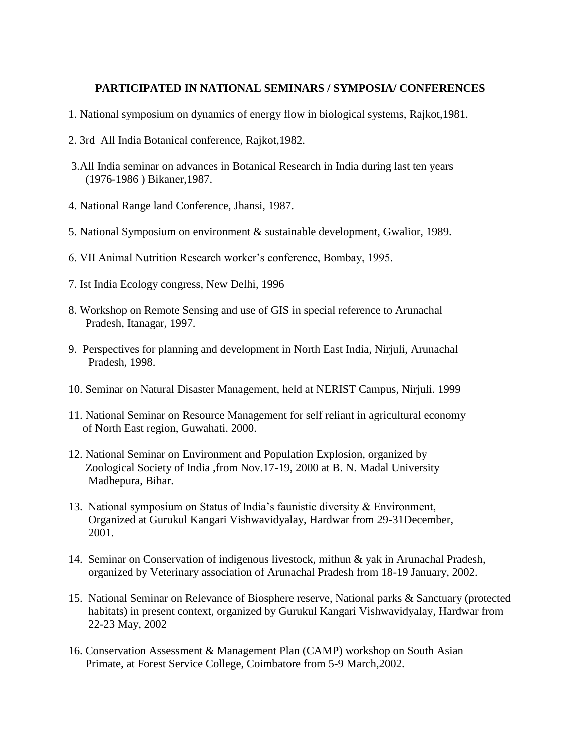#### **PARTICIPATED IN NATIONAL SEMINARS / SYMPOSIA/ CONFERENCES**

- 1. National symposium on dynamics of energy flow in biological systems, Rajkot,1981.
- 2. 3rd All India Botanical conference, Rajkot,1982.
- 3.All India seminar on advances in Botanical Research in India during last ten years (1976-1986 ) Bikaner,1987.
- 4. National Range land Conference, Jhansi, 1987.
- 5. National Symposium on environment & sustainable development, Gwalior, 1989.
- 6. VII Animal Nutrition Research worker's conference, Bombay, 1995.
- 7. Ist India Ecology congress, New Delhi, 1996
- 8. Workshop on Remote Sensing and use of GIS in special reference to Arunachal Pradesh, Itanagar, 1997.
- 9. Perspectives for planning and development in North East India, Nirjuli, Arunachal Pradesh, 1998.
- 10. Seminar on Natural Disaster Management, held at NERIST Campus, Nirjuli. 1999
- 11. National Seminar on Resource Management for self reliant in agricultural economy of North East region, Guwahati. 2000.
- 12. National Seminar on Environment and Population Explosion, organized by Zoological Society of India ,from Nov.17-19, 2000 at B. N. Madal University Madhepura, Bihar.
- 13. National symposium on Status of India's faunistic diversity & Environment, Organized at Gurukul Kangari Vishwavidyalay, Hardwar from 29-31December, 2001.
- 14. Seminar on Conservation of indigenous livestock, mithun & yak in Arunachal Pradesh, organized by Veterinary association of Arunachal Pradesh from 18-19 January, 2002.
- 15. National Seminar on Relevance of Biosphere reserve, National parks & Sanctuary (protected habitats) in present context, organized by Gurukul Kangari Vishwavidyalay, Hardwar from 22-23 May, 2002
- 16. Conservation Assessment & Management Plan (CAMP) workshop on South Asian Primate, at Forest Service College, Coimbatore from 5-9 March,2002.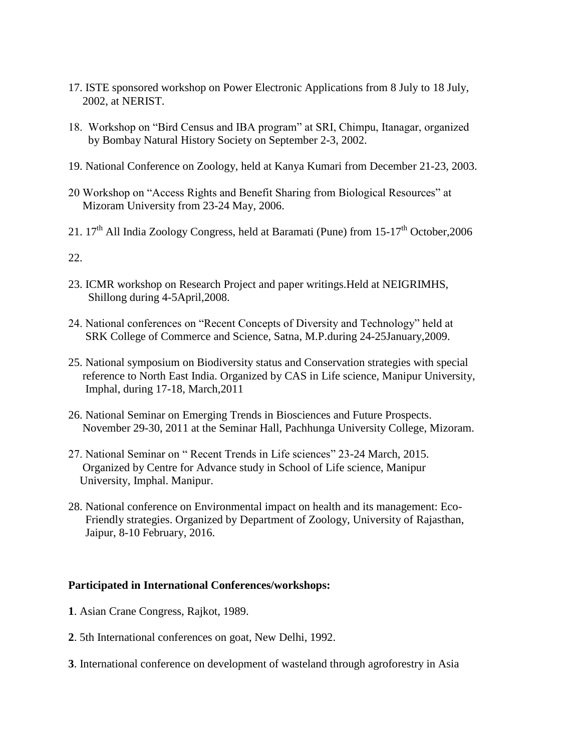- 17. ISTE sponsored workshop on Power Electronic Applications from 8 July to 18 July, 2002, at NERIST.
- 18. Workshop on "Bird Census and IBA program" at SRI, Chimpu, Itanagar, organized by Bombay Natural History Society on September 2-3, 2002.
- 19. National Conference on Zoology, held at Kanya Kumari from December 21-23, 2003.
- 20 Workshop on "Access Rights and Benefit Sharing from Biological Resources" at Mizoram University from 23-24 May, 2006.
- 21.  $17<sup>th</sup>$  All India Zoology Congress, held at Baramati (Pune) from  $15-17<sup>th</sup>$  October, 2006

22.

- 23. ICMR workshop on Research Project and paper writings.Held at NEIGRIMHS, Shillong during 4-5April,2008.
- 24. National conferences on "Recent Concepts of Diversity and Technology" held at SRK College of Commerce and Science, Satna, M.P.during 24-25January,2009.
- 25. National symposium on Biodiversity status and Conservation strategies with special reference to North East India. Organized by CAS in Life science, Manipur University, Imphal, during 17-18, March,2011
- 26. National Seminar on Emerging Trends in Biosciences and Future Prospects. November 29-30, 2011 at the Seminar Hall, Pachhunga University College, Mizoram.
- 27. National Seminar on " Recent Trends in Life sciences" 23-24 March, 2015. Organized by Centre for Advance study in School of Life science, Manipur University, Imphal. Manipur.
- 28. National conference on Environmental impact on health and its management: Eco- Friendly strategies. Organized by Department of Zoology, University of Rajasthan, Jaipur, 8-10 February, 2016.

#### **Participated in International Conferences/workshops:**

- **1**. Asian Crane Congress, Rajkot, 1989.
- **2**. 5th International conferences on goat, New Delhi, 1992.
- **3**. International conference on development of wasteland through agroforestry in Asia